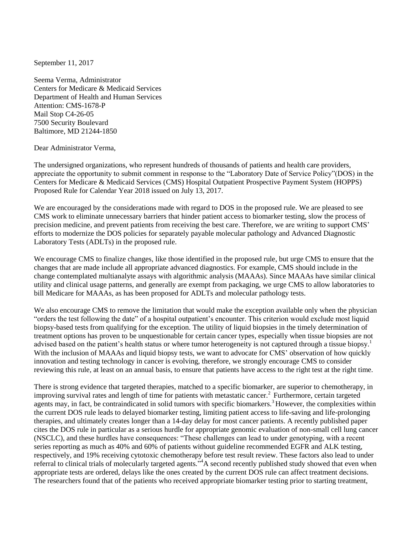September 11, 2017

Seema Verma, Administrator Centers for Medicare & Medicaid Services Department of Health and Human Services Attention: CMS-1678-P Mail Stop C4-26-05 7500 Security Boulevard Baltimore, MD 21244-1850

Dear Administrator Verma,

The undersigned organizations, who represent hundreds of thousands of patients and health care providers, appreciate the opportunity to submit comment in response to the "Laboratory Date of Service Policy"(DOS) in the Centers for Medicare & Medicaid Services (CMS) Hospital Outpatient Prospective Payment System (HOPPS) Proposed Rule for Calendar Year 2018 issued on July 13, 2017.

We are encouraged by the considerations made with regard to DOS in the proposed rule. We are pleased to see CMS work to eliminate unnecessary barriers that hinder patient access to biomarker testing, slow the process of precision medicine, and prevent patients from receiving the best care. Therefore, we are writing to support CMS' efforts to modernize the DOS policies for separately payable molecular pathology and Advanced Diagnostic Laboratory Tests (ADLTs) in the proposed rule.

We encourage CMS to finalize changes, like those identified in the proposed rule, but urge CMS to ensure that the changes that are made include all appropriate advanced diagnostics. For example, CMS should include in the change contemplated multianalyte assays with algorithmic analysis (MAAAs). Since MAAAs have similar clinical utility and clinical usage patterns, and generally are exempt from packaging, we urge CMS to allow laboratories to bill Medicare for MAAAs, as has been proposed for ADLTs and molecular pathology tests.

We also encourage CMS to remove the limitation that would make the exception available only when the physician "orders the test following the date" of a hospital outpatient's encounter. This criterion would exclude most liquid biopsy-based tests from qualifying for the exception. The utility of liquid biopsies in the timely determination of treatment options has proven to be unquestionable for certain cancer types, especially when tissue biopsies are not advised based on the patient's health status or where tumor heterogeneity is not captured through a tissue biops[y.](#page-1-0)<sup>1</sup> With the inclusion of MAAAs and liquid biopsy tests, we want to advocate for CMS' observation of how quickly innovation and testing technology in cancer is evolving, therefore, we strongly encourage CMS to consider reviewing this rule, at least on an annual basis, to ensure that patients have access to the right test at the right time.

There is strong evidence that targeted therapies, matched to a specific biomarker, are superior to chemotherapy, in improving survival rates and length of time for patients with metastatic cancer[.](#page-1-1)<sup>2</sup> Furthermore, certain targeted agents may, in fact, be contraindicated in solid tumors with specific biomarkers.<sup>[3](#page-2-0)</sup> However, the complexities within the current DOS rule leads to delayed biomarker testing, limiting patient access to life-saving and life-prolonging therapies, and ultimately creates longer than a 14-day delay for most cancer patients. A recently published paper cites the DOS rule in particular as a serious hurdle for appropriate genomic evaluation of non-small cell lung cancer (NSCLC), and these hurdles have consequences: "These challenges can lead to under genotyping, with a recent series reporting as much as 40% and 60% of patients without guideline recommended EGFR and ALK testing, respectively, and 19% receiving cytotoxic chemotherapy before test result review. These factors also lead to under referral to clinical trials of molecularly targeted agents."<sup>4</sup>A second recently published study showed that even when appropriate tests are ordered, delays like the ones created by the current DOS rule can affect treatment decisions. The researchers found that of the patients who received appropriate biomarker testing prior to starting treatment,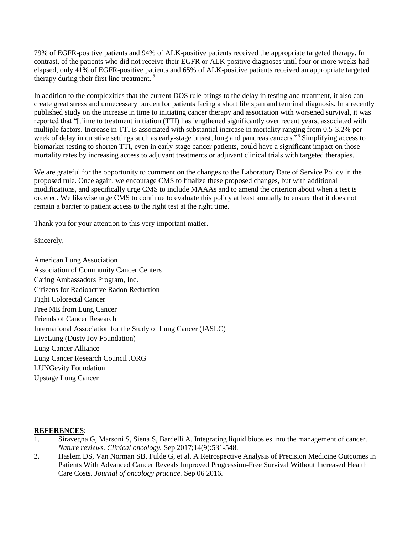79% of EGFR-positive patients and 94% of ALK-positive patients received the appropriate targeted therapy. In contrast, of the patients who did not receive their EGFR or ALK positive diagnoses until four or more weeks had elapsed, only 41% of EGFR-positive patients and 65% of ALK-positive patients received an appropriate targeted therapy during their first line treatment.<sup>5</sup>

In addition to the complexities that the current DOS rule brings to the delay in testing and treatment, it also can create great stress and unnecessary burden for patients facing a short life span and terminal diagnosis. In a recently published study on the increase in time to initiating cancer therapy and association with worsened survival, it was reported that "[t]ime to treatment initiation (TTI) has lengthened significantly over recent years, associated with multiple factors. Increase in TTI is associated with substantial increase in mortality ranging from 0.5-3.2% per week of delay in curative settings such as early-stage breast, lung and pancreas cancers."<sup>6</sup> Simplifying access to biomarker testing to shorten TTI, even in early-stage cancer patients, could have a significant impact on those mortality rates by increasing access to adjuvant treatments or adjuvant clinical trials with targeted therapies.

We are grateful for the opportunity to comment on the changes to the Laboratory Date of Service Policy in the proposed rule. Once again, we encourage CMS to finalize these proposed changes, but with additional modifications, and specifically urge CMS to include MAAAs and to amend the criterion about when a test is ordered. We likewise urge CMS to continue to evaluate this policy at least annually to ensure that it does not remain a barrier to patient access to the right test at the right time.

Thank you for your attention to this very important matter.

Sincerely,

American Lung Association Association of Community Cancer Centers Caring Ambassadors Program, Inc. Citizens for Radioactive Radon Reduction Fight Colorectal Cancer Free ME from Lung Cancer Friends of Cancer Research International Association for the Study of Lung Cancer (IASLC) LiveLung (Dusty Joy Foundation) Lung Cancer Alliance Lung Cancer Research Council .ORG LUNGevity Foundation Upstage Lung Cancer

## **REFERENCES**:

- <span id="page-1-0"></span>1. Siravegna G, Marsoni S, Siena S, Bardelli A. Integrating liquid biopsies into the management of cancer. *Nature reviews. Clinical oncology.* Sep 2017;14(9):531-548.
- <span id="page-1-1"></span>2. Haslem DS, Van Norman SB, Fulde G, et al. A Retrospective Analysis of Precision Medicine Outcomes in Patients With Advanced Cancer Reveals Improved Progression-Free Survival Without Increased Health Care Costs. *Journal of oncology practice.* Sep 06 2016.